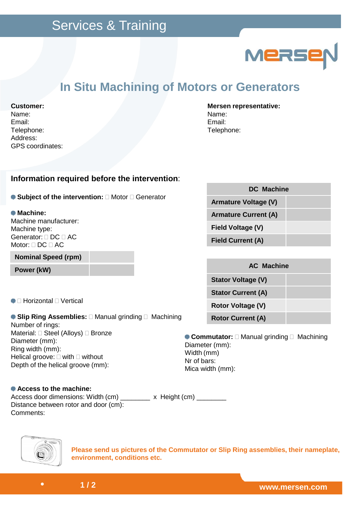

## **In Situ Machining of Motors or Generators**

## **Customer:**

Name: Email: Telephone: Address: GPS coordinates:

### **Mersen representative:** Name: Email: Telephone:

## **Information required before the intervention**:

**Subject of the intervention: Motor Generator** 

### **Machine:**

Machine manufacturer: Machine type: Generator: DC AC Motor: DC AC

**Nominal Speed (rpm)**

Horizontal Vertical

## **Slip Ring Assemblies:**  Manual grinding Machining Number of rings: Material: Steel (Alloys) Bronze Diameter (mm): Ring width (mm): Helical groove: with without Depth of the helical groove (mm):

| <b>DC</b> Machine           |  |  |  |  |
|-----------------------------|--|--|--|--|
| <b>Armature Voltage (V)</b> |  |  |  |  |
| <b>Armature Current (A)</b> |  |  |  |  |
| Field Voltage (V)           |  |  |  |  |
| <b>Field Current (A)</b>    |  |  |  |  |

| Power (kW)                                   |  |           | <b>AC Machine</b>         |  |
|----------------------------------------------|--|-----------|---------------------------|--|
|                                              |  |           | <b>Stator Voltage (V)</b> |  |
| Horizontal<br>Vertical                       |  |           | <b>Stator Current (A)</b> |  |
|                                              |  |           | <b>Rotor Voltage (V)</b>  |  |
| <b>Slip Ring Assemblies:</b> Manual grinding |  | Machining | <b>Rotor Current (A)</b>  |  |

**Commutator:**  Manual grinding Machining Diameter (mm): Width (mm) Nr of bars: Mica width (mm):

#### **Access to the machine:** Access door dimensions: Width (cm) \_\_\_\_\_\_\_\_ x Height (cm) \_\_\_\_\_\_\_ Distance between rotor and door (cm): Comments:



**Please send us pictures of the Commutator or Slip Ring assemblies, their nameplate, environment, conditions etc.**